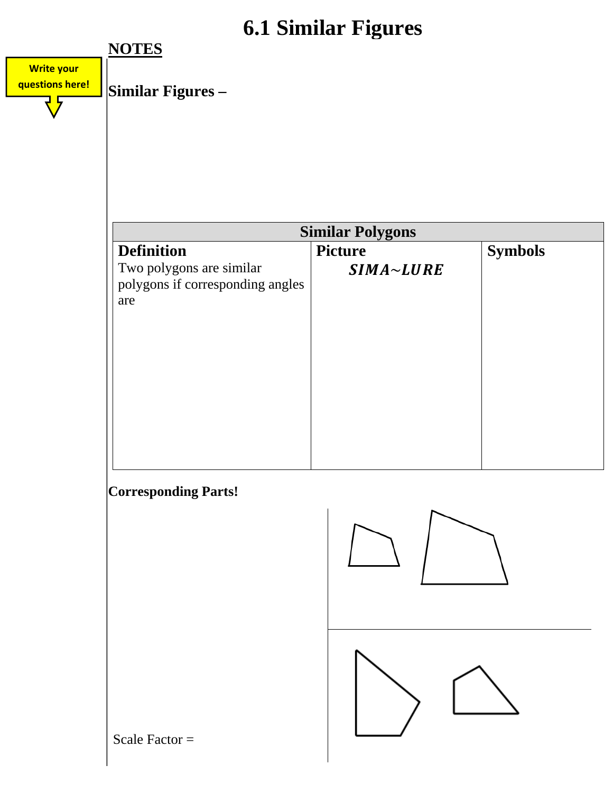## **6.1 Similar Figures**

|                   | 0.1 SIIIIIAI FIGUIES                    |                  |                |  |  |
|-------------------|-----------------------------------------|------------------|----------------|--|--|
|                   | <b>NOTES</b>                            |                  |                |  |  |
| <b>Write your</b> |                                         |                  |                |  |  |
| questions here!   | Similar Figures -                       |                  |                |  |  |
|                   |                                         |                  |                |  |  |
|                   |                                         |                  |                |  |  |
|                   |                                         |                  |                |  |  |
|                   |                                         |                  |                |  |  |
|                   |                                         |                  |                |  |  |
|                   |                                         |                  |                |  |  |
|                   | <b>Similar Polygons</b>                 |                  |                |  |  |
|                   | <b>Definition</b>                       | <b>Picture</b>   | <b>Symbols</b> |  |  |
|                   | Two polygons are similar                | $SIMA \sim LURE$ |                |  |  |
|                   | polygons if corresponding angles<br>are |                  |                |  |  |
|                   |                                         |                  |                |  |  |
|                   |                                         |                  |                |  |  |
|                   |                                         |                  |                |  |  |
|                   |                                         |                  |                |  |  |
|                   |                                         |                  |                |  |  |
|                   |                                         |                  |                |  |  |
|                   |                                         |                  |                |  |  |
|                   |                                         |                  |                |  |  |
|                   |                                         |                  |                |  |  |
|                   | <b>Corresponding Parts!</b>             |                  |                |  |  |
|                   |                                         |                  |                |  |  |
|                   |                                         |                  |                |  |  |
|                   |                                         |                  |                |  |  |
|                   |                                         |                  |                |  |  |
|                   |                                         |                  |                |  |  |
|                   |                                         |                  |                |  |  |
|                   |                                         |                  |                |  |  |
|                   |                                         |                  |                |  |  |
|                   |                                         |                  |                |  |  |
|                   |                                         |                  |                |  |  |
|                   |                                         |                  |                |  |  |
|                   | Scale Factor $=$                        |                  |                |  |  |
|                   |                                         |                  |                |  |  |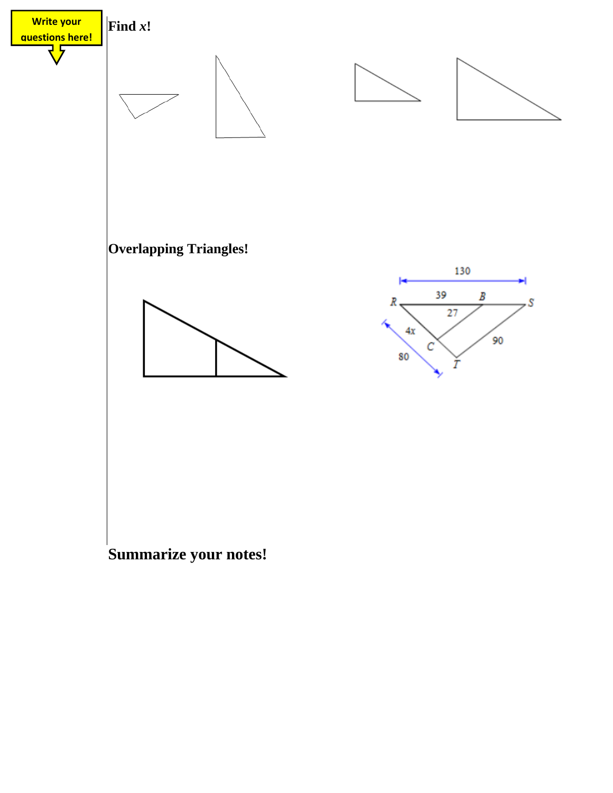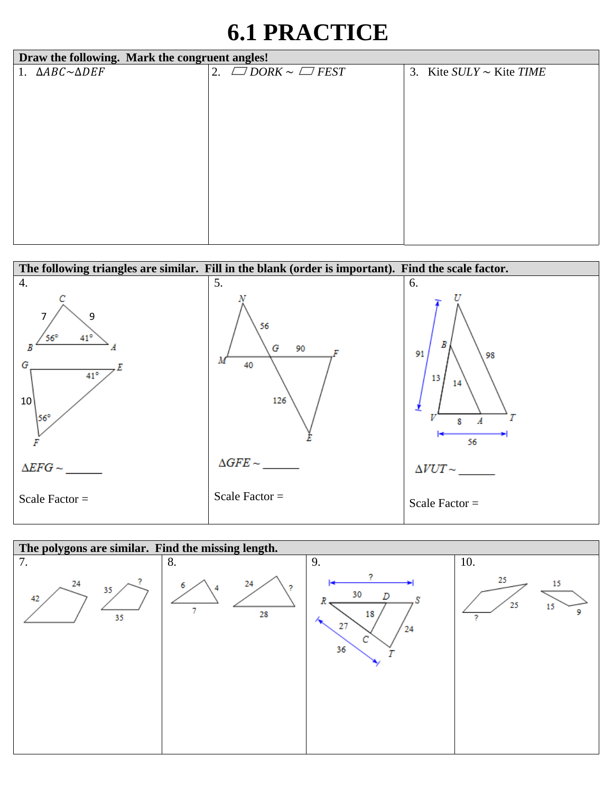## **6.1 PRACTICE**

| Draw the following. Mark the congruent angles! |  |                              |                               |  |
|------------------------------------------------|--|------------------------------|-------------------------------|--|
| 1. $\triangle ABC \sim \triangle DEF$          |  | 2. $\Box$ DORK ~ $\Box$ FEST | 3. Kite $SULY \sim$ Kite TIME |  |
|                                                |  |                              |                               |  |
|                                                |  |                              |                               |  |
|                                                |  |                              |                               |  |
|                                                |  |                              |                               |  |
|                                                |  |                              |                               |  |
|                                                |  |                              |                               |  |
|                                                |  |                              |                               |  |
|                                                |  |                              |                               |  |
|                                                |  |                              |                               |  |
|                                                |  |                              |                               |  |
|                                                |  |                              |                               |  |
|                                                |  |                              |                               |  |



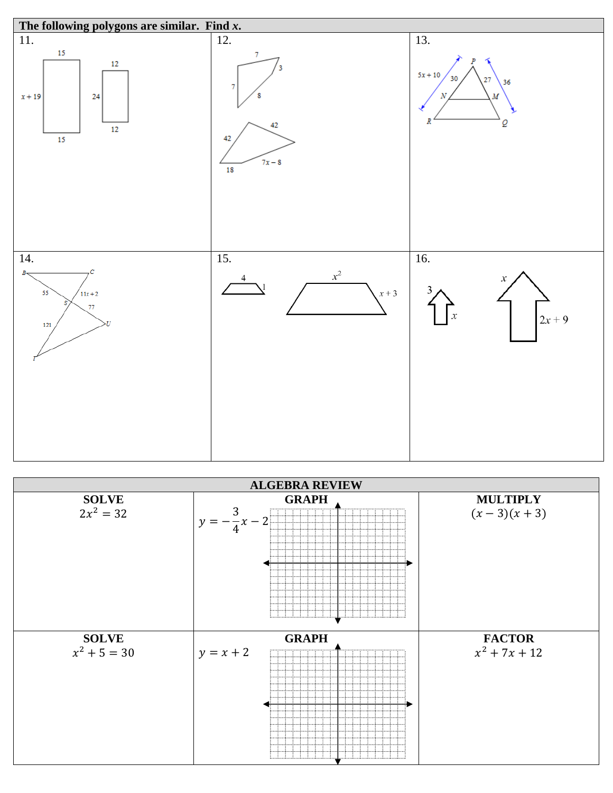

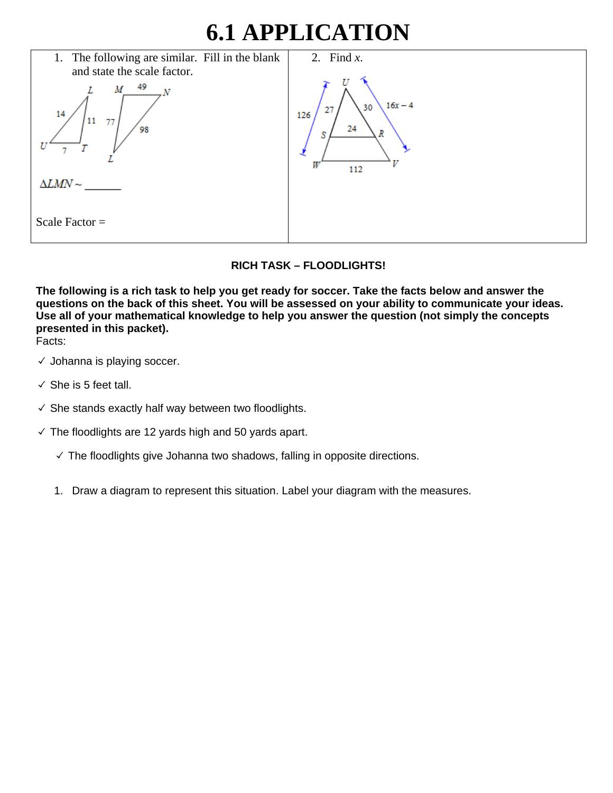## **6.1 APPLICATION**

| 1. The following are similar. Fill in the blank | 2. Find $x$ .                |
|-------------------------------------------------|------------------------------|
| and state the scale factor.                     |                              |
| 49<br>M<br>14                                   | $16x - 4$<br>30<br>27<br>126 |
| 11<br>77<br>98                                  | 24<br>R<br>S                 |
|                                                 | W<br>112                     |
| $\Delta LMN \sim$                               |                              |
| Scale Factor $=$                                |                              |

## **RICH TASK – FLOODLIGHTS!**

**The following is a rich task to help you get ready for soccer. Take the facts below and answer the questions on the back of this sheet. You will be assessed on your ability to communicate your ideas. Use all of your mathematical knowledge to help you answer the question (not simply the concepts presented in this packet).** 

Facts:

- $\checkmark$  Johanna is playing soccer.
- $\checkmark$  She is 5 feet tall.
- $\checkmark$  She stands exactly half way between two floodlights.
- $\checkmark$  The floodlights are 12 yards high and 50 yards apart.
	- ✓ The floodlights give Johanna two shadows, falling in opposite directions.
	- 1. Draw a diagram to represent this situation. Label your diagram with the measures.